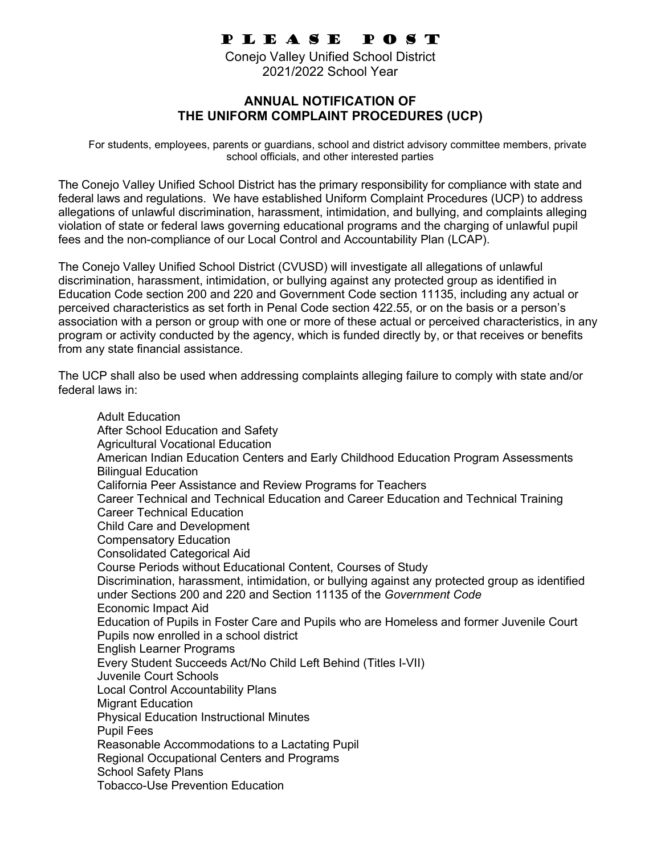## P L E A S E P O S T

Conejo Valley Unified School District 2021/2022 School Year

## **ANNUAL NOTIFICATION OF THE UNIFORM COMPLAINT PROCEDURES (UCP)**

 For students, employees, parents or guardians, school and district advisory committee members, private school officials, and other interested parties

The Conejo Valley Unified School District has the primary responsibility for compliance with state and federal laws and regulations. We have established Uniform Complaint Procedures (UCP) to address allegations of unlawful discrimination, harassment, intimidation, and bullying, and complaints alleging violation of state or federal laws governing educational programs and the charging of unlawful pupil fees and the non-compliance of our Local Control and Accountability Plan (LCAP).

The Conejo Valley Unified School District (CVUSD) will investigate all allegations of unlawful discrimination, harassment, intimidation, or bullying against any protected group as identified in Education Code section 200 and 220 and Government Code section 11135, including any actual or perceived characteristics as set forth in Penal Code section 422.55, or on the basis or a person's association with a person or group with one or more of these actual or perceived characteristics, in any program or activity conducted by the agency, which is funded directly by, or that receives or benefits from any state financial assistance.

The UCP shall also be used when addressing complaints alleging failure to comply with state and/or federal laws in:

Adult Education After School Education and Safety Agricultural Vocational Education American Indian Education Centers and Early Childhood Education Program Assessments Bilingual Education California Peer Assistance and Review Programs for Teachers Career Technical and Technical Education and Career Education and Technical Training Career Technical Education Child Care and Development Compensatory Education Consolidated Categorical Aid Course Periods without Educational Content, Courses of Study Discrimination, harassment, intimidation, or bullying against any protected group as identified under Sections 200 and 220 and Section 11135 of the *Government Code* Economic Impact Aid Education of Pupils in Foster Care and Pupils who are Homeless and former Juvenile Court Pupils now enrolled in a school district English Learner Programs Every Student Succeeds Act/No Child Left Behind (Titles I-VII) Juvenile Court Schools Local Control Accountability Plans Migrant Education Physical Education Instructional Minutes Pupil Fees Reasonable Accommodations to a Lactating Pupil Regional Occupational Centers and Programs School Safety Plans Tobacco-Use Prevention Education